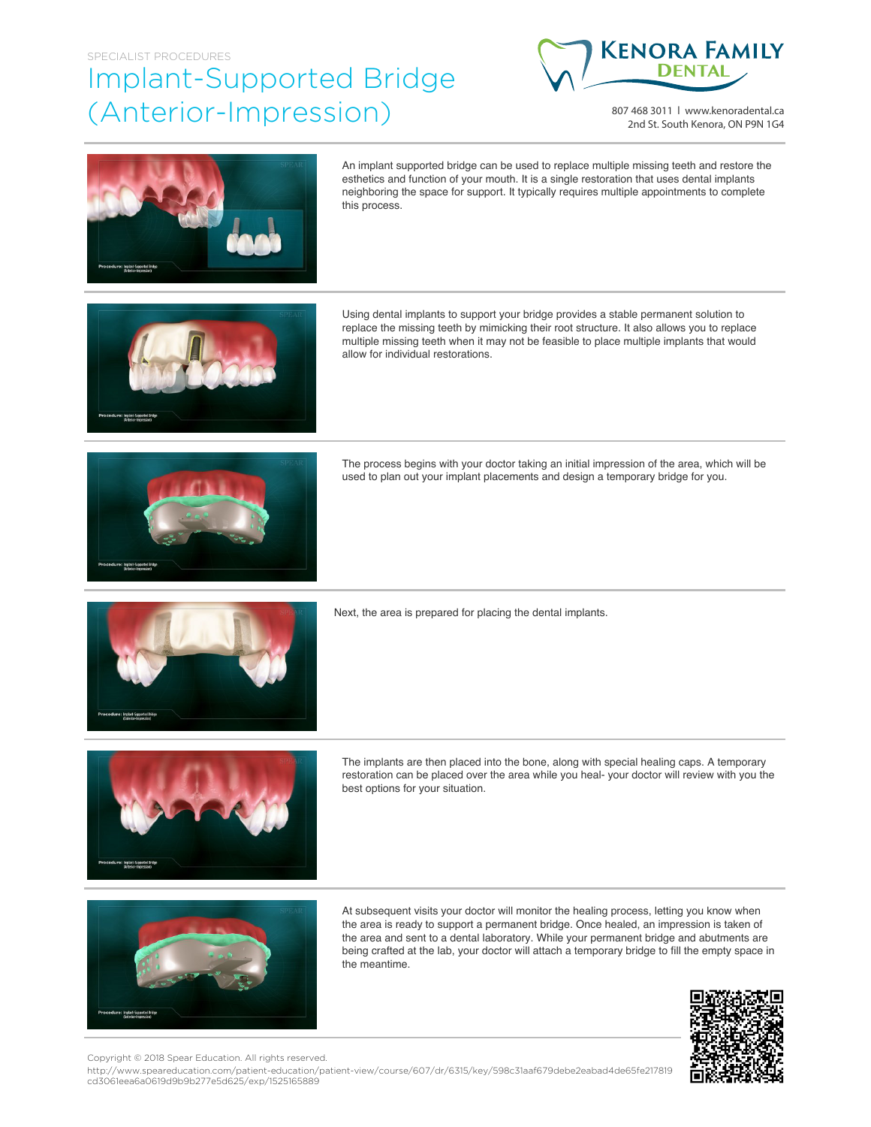## SPECIALIST PROCEDURES Implant-Supported Bridge (Anterior-Impression)



807 468 3011 | www.kenoradental.ca 2nd St. South Kenora, ON P9N 1G4



An implant supported bridge can be used to replace multiple missing teeth and restore the esthetics and function of your mouth. It is a single restoration that uses dental implants neighboring the space for support. It typically requires multiple appointments to complete this process.



Using dental implants to support your bridge provides a stable permanent solution to replace the missing teeth by mimicking their root structure. It also allows you to replace multiple missing teeth when it may not be feasible to place multiple implants that would allow for individual restorations.



The process begins with your doctor taking an initial impression of the area, which will be used to plan out your implant placements and design a temporary bridge for you.



Next, the area is prepared for placing the dental implants.



The implants are then placed into the bone, along with special healing caps. A temporary restoration can be placed over the area while you heal- your doctor will review with you the best options for your situation.



At subsequent visits your doctor will monitor the healing process, letting you know when the area is ready to support a permanent bridge. Once healed, an impression is taken of the area and sent to a dental laboratory. While your permanent bridge and abutments are being crafted at the lab, your doctor will attach a temporary bridge to fill the empty space in the meantime.



Copyright © 2018 Spear Education. All rights reserved.

http://www.speareducation.com/patient-education/patient-view/course/607/dr/6315/key/598c31aaf679debe2eabad4de65fe217819 cd3061eea6a0619d9b9b277e5d625/exp/1525165889